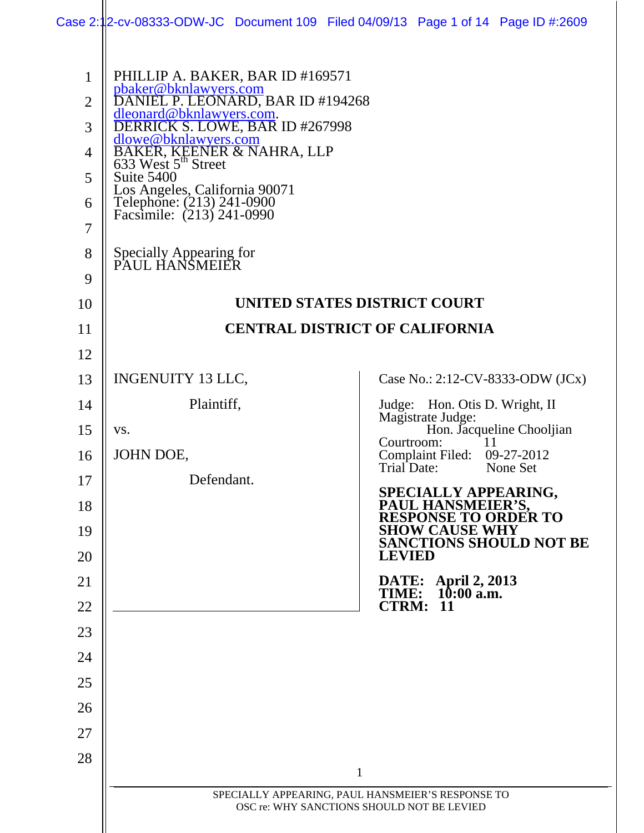Case 2:12-cv-08333-ODW-JC Document 109 Filed 04/09/13 Page 1 of 14 Page ID #:2609

| $\mathbf 1$<br>$\overline{2}$<br>3<br>$\overline{4}$<br>5<br>6<br>$\overline{7}$<br>8<br>9<br>10 | PHILLIP A. BAKER, BAR ID #169571<br>pbaker@bknlawyers.com<br>DANIEL P. LEONARD, BAR ID #194268<br>dleonard@bknlawyers.com.<br>DERRICK S. LOWE, BAR ID #267998<br>dlowe@bknlawyers.com<br>BAKER, KEENER & NAHRA, LLP<br>633 West 5 <sup>th</sup> Street<br>Suite 5400<br>Los Angeles, California 90071<br>Telephone: (213) 241-0900<br>Facsimile: (213) 241-0990<br>Specially Appearing for<br>PAUL HANSMEIER | UNITED STATES DISTRICT COURT                                                                    |
|--------------------------------------------------------------------------------------------------|--------------------------------------------------------------------------------------------------------------------------------------------------------------------------------------------------------------------------------------------------------------------------------------------------------------------------------------------------------------------------------------------------------------|-------------------------------------------------------------------------------------------------|
|                                                                                                  |                                                                                                                                                                                                                                                                                                                                                                                                              |                                                                                                 |
| 11                                                                                               |                                                                                                                                                                                                                                                                                                                                                                                                              | <b>CENTRAL DISTRICT OF CALIFORNIA</b>                                                           |
| 12                                                                                               |                                                                                                                                                                                                                                                                                                                                                                                                              |                                                                                                 |
| 13                                                                                               | <b>INGENUITY 13 LLC,</b>                                                                                                                                                                                                                                                                                                                                                                                     | Case No.: 2:12-CV-8333-ODW (JCx)                                                                |
| 14                                                                                               | Plaintiff,                                                                                                                                                                                                                                                                                                                                                                                                   | Judge: Hon. Otis D. Wright, II<br>Magistrate Judge:                                             |
| 15                                                                                               | VS.                                                                                                                                                                                                                                                                                                                                                                                                          | Hon. Jacqueline Chooljian<br>Courtroom:                                                         |
| 16                                                                                               | JOHN DOE,                                                                                                                                                                                                                                                                                                                                                                                                    | Complaint Filed: 09-27-2012<br>Trial Date:<br>None Set                                          |
| 17                                                                                               | Defendant.                                                                                                                                                                                                                                                                                                                                                                                                   | SPECIALLY APPEARING,                                                                            |
| 18                                                                                               |                                                                                                                                                                                                                                                                                                                                                                                                              | PAUL HANSMEIER'S,<br>RESPONSE TO ORDER TO                                                       |
| 19<br>20                                                                                         |                                                                                                                                                                                                                                                                                                                                                                                                              | <b>SHOW CAUSE WHY</b><br><b>SANCTIONS SHOULD NOT BE</b><br><b>LEVIED</b>                        |
| 21                                                                                               |                                                                                                                                                                                                                                                                                                                                                                                                              |                                                                                                 |
| 22                                                                                               |                                                                                                                                                                                                                                                                                                                                                                                                              | <b>DATE:</b> April 2, 2013<br>TIME: 10:00 a.m.<br><b>CTRM:</b><br>11                            |
| 23                                                                                               |                                                                                                                                                                                                                                                                                                                                                                                                              |                                                                                                 |
| 24                                                                                               |                                                                                                                                                                                                                                                                                                                                                                                                              |                                                                                                 |
| 25                                                                                               |                                                                                                                                                                                                                                                                                                                                                                                                              |                                                                                                 |
| 26                                                                                               |                                                                                                                                                                                                                                                                                                                                                                                                              |                                                                                                 |
| 27                                                                                               |                                                                                                                                                                                                                                                                                                                                                                                                              |                                                                                                 |
| 28                                                                                               |                                                                                                                                                                                                                                                                                                                                                                                                              |                                                                                                 |
|                                                                                                  |                                                                                                                                                                                                                                                                                                                                                                                                              | 1                                                                                               |
|                                                                                                  |                                                                                                                                                                                                                                                                                                                                                                                                              | SPECIALLY APPEARING, PAUL HANSMEIER'S RESPONSE TO<br>OSC re: WHY SANCTIONS SHOULD NOT BE LEVIED |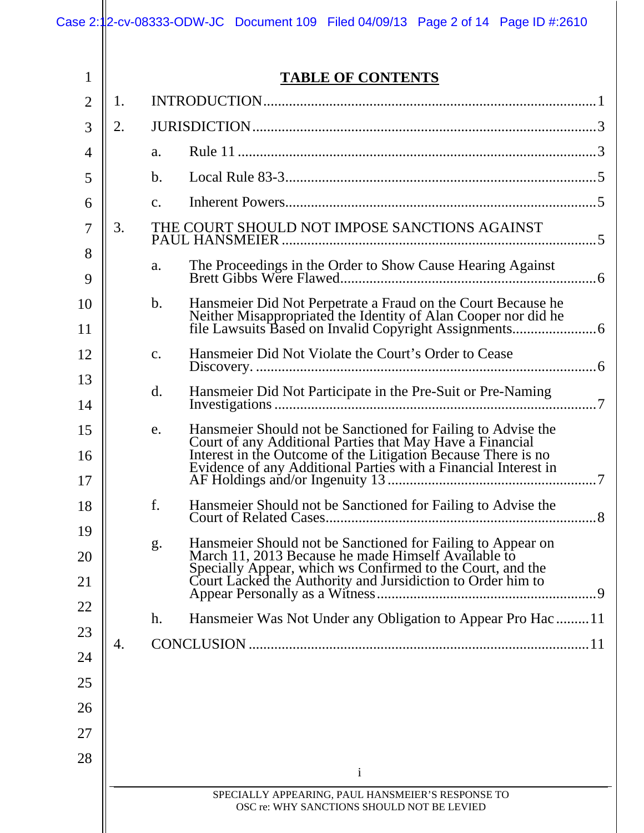| 1              |    |                | <b>TABLE OF CONTENTS</b>                                                                                                                                                                                                                |
|----------------|----|----------------|-----------------------------------------------------------------------------------------------------------------------------------------------------------------------------------------------------------------------------------------|
| $\overline{2}$ | 1. |                |                                                                                                                                                                                                                                         |
| 3              | 2. |                |                                                                                                                                                                                                                                         |
| $\overline{4}$ |    | a.             |                                                                                                                                                                                                                                         |
| 5              |    | $\mathbf{b}$ . |                                                                                                                                                                                                                                         |
| 6              |    | $C_{\bullet}$  |                                                                                                                                                                                                                                         |
| 7              | 3. |                | THE COURT SHOULD NOT IMPOSE SANCTIONS AGAINST                                                                                                                                                                                           |
| 8<br>9         |    | a.             |                                                                                                                                                                                                                                         |
| 10<br>11       |    | $\mathbf{b}$ . |                                                                                                                                                                                                                                         |
| 12             |    | c.             | Hansmeier Did Not Violate the Court's Order to Cease                                                                                                                                                                                    |
| 13<br>14       |    | d.             | Hansmeier Did Not Participate in the Pre-Suit or Pre-Naming                                                                                                                                                                             |
| 15<br>16<br>17 |    | e.             | Hansmeier Should not be Sanctioned for Failing to Advise the<br>Court of any Additional Parties that May Have a Financial<br>Interest in the Outcome of the Litigation Because There is no<br>Evidence of any Additional Parties with a |
| 18             |    | f.             | Hansmeier Should not be Sanctioned for Failing to Advise the<br>. 8                                                                                                                                                                     |
| 19<br>20<br>21 |    | g.             | Hansmeier Should not be Sanctioned for Failing to Appear on<br>March 11, 2013 Because he made Himself Available to                                                                                                                      |
| 22             |    | h.             | Hansmeier Was Not Under any Obligation to Appear Pro Hac11                                                                                                                                                                              |
| 23             | 4. |                |                                                                                                                                                                                                                                         |
| 24             |    |                |                                                                                                                                                                                                                                         |
| 25             |    |                |                                                                                                                                                                                                                                         |
| 26             |    |                |                                                                                                                                                                                                                                         |
| 27             |    |                |                                                                                                                                                                                                                                         |
| 28             |    |                | $\mathbf{i}$                                                                                                                                                                                                                            |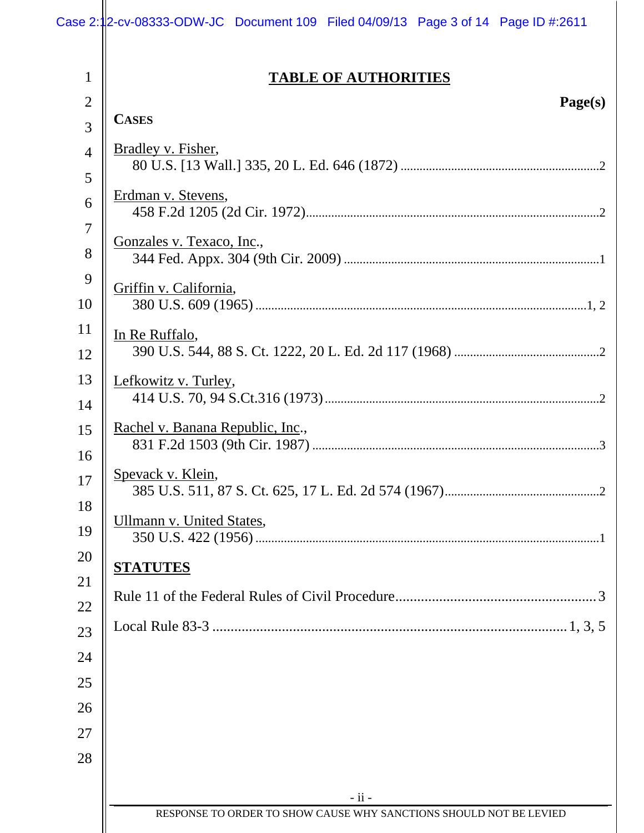### **TABLE OF AUTHORITIES**

| 1              | <b>TABLE OF AUTHORITIES</b>                                                   |
|----------------|-------------------------------------------------------------------------------|
| $\overline{2}$ | Page(s)                                                                       |
| 3              | <b>CASES</b>                                                                  |
| $\overline{4}$ | Bradley v. Fisher,                                                            |
| 5              |                                                                               |
| 6              | Erdman v. Stevens,                                                            |
| $\overline{7}$ | Gonzales v. Texaco, Inc.,                                                     |
| 8              |                                                                               |
| 9              | Griffin v. California,                                                        |
| 10             |                                                                               |
| 11             | In Re Ruffalo,                                                                |
| 12             |                                                                               |
| 13             | Lefkowitz v. Turley,                                                          |
| 14             |                                                                               |
| 15             | Rachel v. Banana Republic, Inc.,                                              |
| 16             |                                                                               |
| 17             | Spevack v. Klein,                                                             |
| 18             |                                                                               |
| 19             | <b>Ullmann v. United States,</b><br>350 U.S. 422 (1956)<br>$\overline{1}$     |
| 20             | <b>STATUTES</b>                                                               |
| 21             |                                                                               |
| 22             |                                                                               |
| 23             |                                                                               |
| 24             |                                                                               |
| 25             |                                                                               |
| 26             |                                                                               |
| 27             |                                                                               |
| 28             |                                                                               |
|                |                                                                               |
|                | $-ii -$<br>RESPONSE TO ORDER TO SHOW CAUSE WHY SANCTIONS SHOULD NOT BE LEVIED |
|                |                                                                               |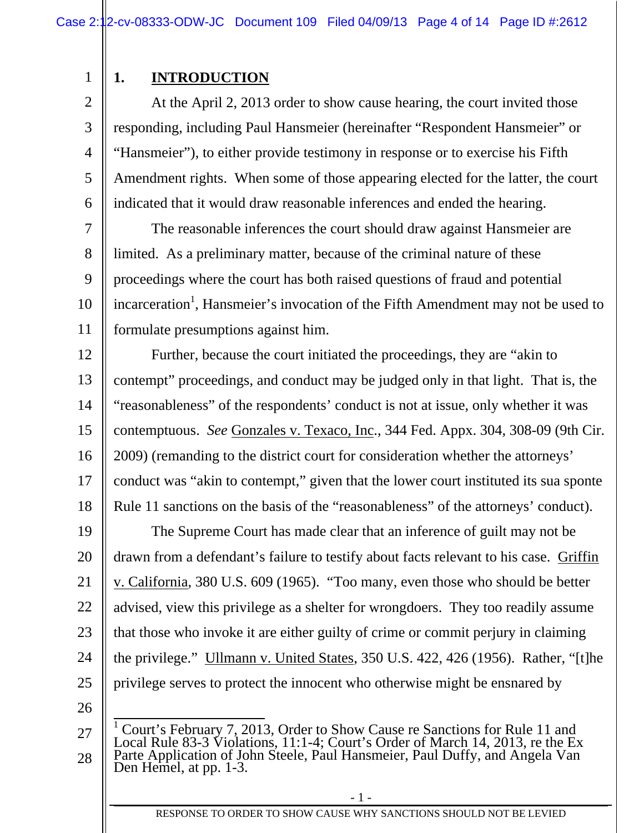1

### **1. INTRODUCTION**

2 3 4 5 6 At the April 2, 2013 order to show cause hearing, the court invited those responding, including Paul Hansmeier (hereinafter "Respondent Hansmeier" or "Hansmeier"), to either provide testimony in response or to exercise his Fifth Amendment rights. When some of those appearing elected for the latter, the court indicated that it would draw reasonable inferences and ended the hearing.

7 8 9 10 11 The reasonable inferences the court should draw against Hansmeier are limited. As a preliminary matter, because of the criminal nature of these proceedings where the court has both raised questions of fraud and potential incarceration<sup>1</sup>, Hansmeier's invocation of the Fifth Amendment may not be used to formulate presumptions against him.

12 13 14 15 16 17 18 Further, because the court initiated the proceedings, they are "akin to contempt" proceedings, and conduct may be judged only in that light. That is, the "reasonableness" of the respondents' conduct is not at issue, only whether it was contemptuous. *See* Gonzales v. Texaco, Inc., 344 Fed. Appx. 304, 308-09 (9th Cir. 2009) (remanding to the district court for consideration whether the attorneys' conduct was "akin to contempt," given that the lower court instituted its sua sponte Rule 11 sanctions on the basis of the "reasonableness" of the attorneys' conduct).

19 20 21 22 23 24 25 The Supreme Court has made clear that an inference of guilt may not be drawn from a defendant's failure to testify about facts relevant to his case. Griffin v. California, 380 U.S. 609 (1965). "Too many, even those who should be better advised, view this privilege as a shelter for wrongdoers. They too readily assume that those who invoke it are either guilty of crime or commit perjury in claiming the privilege." Ullmann v. United States, 350 U.S. 422, 426 (1956). Rather, "[t]he privilege serves to protect the innocent who otherwise might be ensnared by

<sup>27</sup>  28 <sup>1</sup> Court's February 7, 2013, Order to Show Cause re Sanctions for Rule 11 and Local Rule 83-3 Violations, 11:1-4; Court's Order of March 14, 2013, re the Ex Parte Application of John Steele, Paul Hansmeier, Paul Duffy, and Angela Van Den Hemel, at pp. 1-3.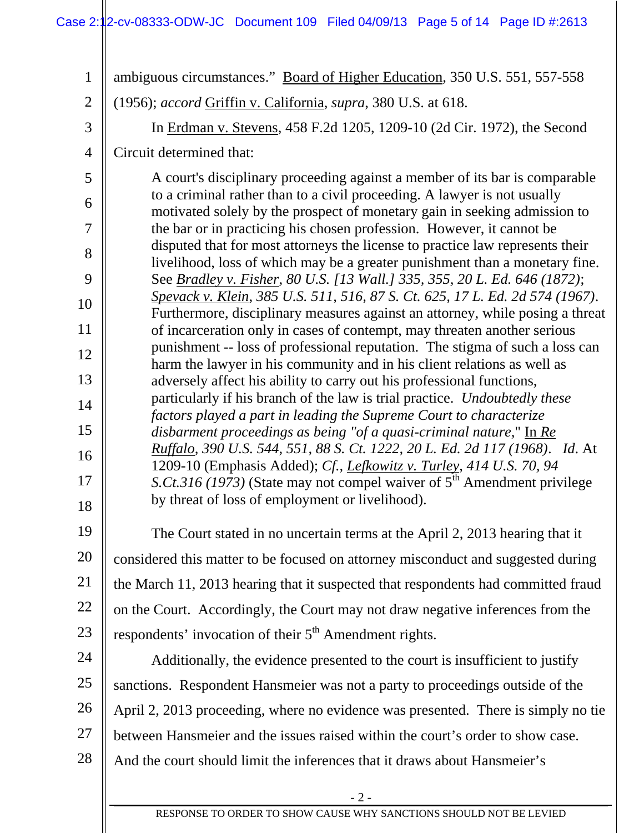| 1              | ambiguous circumstances." Board of Higher Education, 350 U.S. 551, 557-558                                                                                    |
|----------------|---------------------------------------------------------------------------------------------------------------------------------------------------------------|
| $\overline{2}$ | (1956); accord Griffin v. California, supra, 380 U.S. at 618.                                                                                                 |
| 3              | In Erdman v. Stevens, 458 F.2d 1205, 1209-10 (2d Cir. 1972), the Second                                                                                       |
| 4              | Circuit determined that:                                                                                                                                      |
| 5              | A court's disciplinary proceeding against a member of its bar is comparable                                                                                   |
| 6              | to a criminal rather than to a civil proceeding. A lawyer is not usually<br>motivated solely by the prospect of monetary gain in seeking admission to         |
| 7              | the bar or in practicing his chosen profession. However, it cannot be                                                                                         |
| 8              | disputed that for most attorneys the license to practice law represents their<br>livelihood, loss of which may be a greater punishment than a monetary fine.  |
| 9              | See <i>Bradley v. Fisher, 80 U.S. [13 Wall.] 335, 355, 20 L. Ed. 646 (1872)</i> ;                                                                             |
| 10             | Spevack v. Klein, 385 U.S. 511, 516, 87 S. Ct. 625, 17 L. Ed. 2d 574 (1967).<br>Furthermore, disciplinary measures against an attorney, while posing a threat |
| 11             | of incarceration only in cases of contempt, may threaten another serious                                                                                      |
| 12             | punishment -- loss of professional reputation. The stigma of such a loss can<br>harm the lawyer in his community and in his client relations as well as       |
| 13             | adversely affect his ability to carry out his professional functions,                                                                                         |
| 14             | particularly if his branch of the law is trial practice. Undoubtedly these                                                                                    |
| 15             | factors played a part in leading the Supreme Court to characterize<br>disbarment proceedings as being "of a quasi-criminal nature," In $Re$                   |
| 16             | Ruffalo, 390 U.S. 544, 551, 88 S. Ct. 1222, 20 L. Ed. 2d 117 (1968). Id. At<br>1209-10 (Emphasis Added); Cf., Lefkowitz v. Turley, 414 U.S. 70, 94            |
| 17             | S.Ct.316 (1973) (State may not compel waiver of 5 <sup>th</sup> Amendment privilege                                                                           |
| 18             | by threat of loss of employment or livelihood).                                                                                                               |
| 19             | The Court stated in no uncertain terms at the April 2, 2013 hearing that it                                                                                   |
| 20             | considered this matter to be focused on attorney misconduct and suggested during                                                                              |
| 21             | the March 11, 2013 hearing that it suspected that respondents had committed fraud                                                                             |
| 22             | on the Court. Accordingly, the Court may not draw negative inferences from the                                                                                |
| 23             | respondents' invocation of their 5 <sup>th</sup> Amendment rights.                                                                                            |
| 24             | Additionally, the evidence presented to the court is insufficient to justify                                                                                  |
| 25             | sanctions. Respondent Hansmeier was not a party to proceedings outside of the                                                                                 |
| 26             | April 2, 2013 proceeding, where no evidence was presented. There is simply no tie                                                                             |
| 27             | between Hansmeier and the issues raised within the court's order to show case.                                                                                |
| 28             | And the court should limit the inferences that it draws about Hansmeier's                                                                                     |
|                | $-2-$                                                                                                                                                         |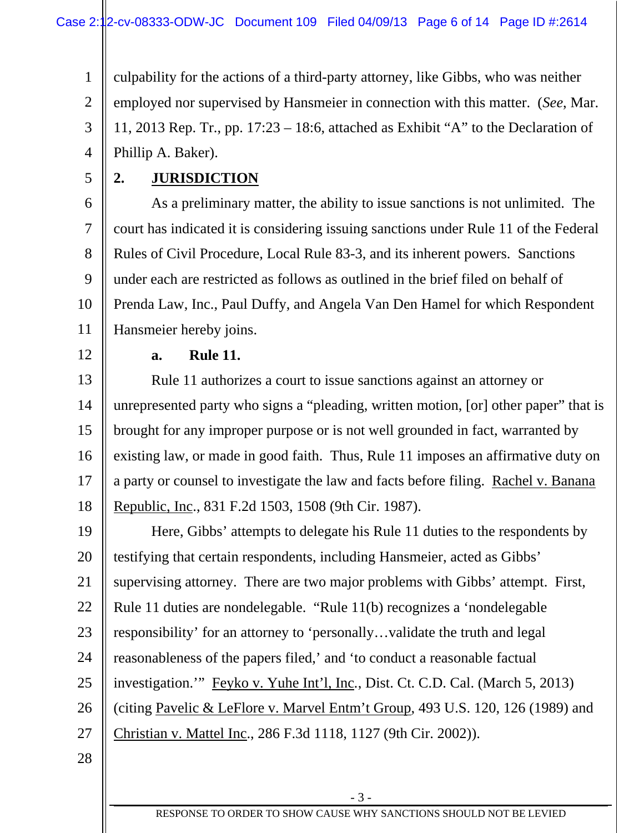1 2 3 4 culpability for the actions of a third-party attorney, like Gibbs, who was neither employed nor supervised by Hansmeier in connection with this matter. (*See*, Mar. 11, 2013 Rep. Tr., pp. 17:23 – 18:6, attached as Exhibit "A" to the Declaration of Phillip A. Baker).

5

### **2. JURISDICTION**

6 7 8 9 10 11 As a preliminary matter, the ability to issue sanctions is not unlimited. The court has indicated it is considering issuing sanctions under Rule 11 of the Federal Rules of Civil Procedure, Local Rule 83-3, and its inherent powers. Sanctions under each are restricted as follows as outlined in the brief filed on behalf of Prenda Law, Inc., Paul Duffy, and Angela Van Den Hamel for which Respondent Hansmeier hereby joins.

12

#### **a. Rule 11.**

13 14 15 16 17 18 Rule 11 authorizes a court to issue sanctions against an attorney or unrepresented party who signs a "pleading, written motion, [or] other paper" that is brought for any improper purpose or is not well grounded in fact, warranted by existing law, or made in good faith. Thus, Rule 11 imposes an affirmative duty on a party or counsel to investigate the law and facts before filing. Rachel v. Banana Republic, Inc., 831 F.2d 1503, 1508 (9th Cir. 1987).

19 20 21 22 23 24 25 26 27 Here, Gibbs' attempts to delegate his Rule 11 duties to the respondents by testifying that certain respondents, including Hansmeier, acted as Gibbs' supervising attorney. There are two major problems with Gibbs' attempt. First, Rule 11 duties are nondelegable. "Rule 11(b) recognizes a 'nondelegable responsibility' for an attorney to 'personally…validate the truth and legal reasonableness of the papers filed,' and 'to conduct a reasonable factual investigation.'" Feyko v. Yuhe Int'l, Inc*.*, Dist. Ct. C.D. Cal. (March 5, 2013) (citing Pavelic & LeFlore v. Marvel Entm't Group, 493 U.S. 120, 126 (1989) and Christian v. Mattel Inc., 286 F.3d 1118, 1127 (9th Cir. 2002)).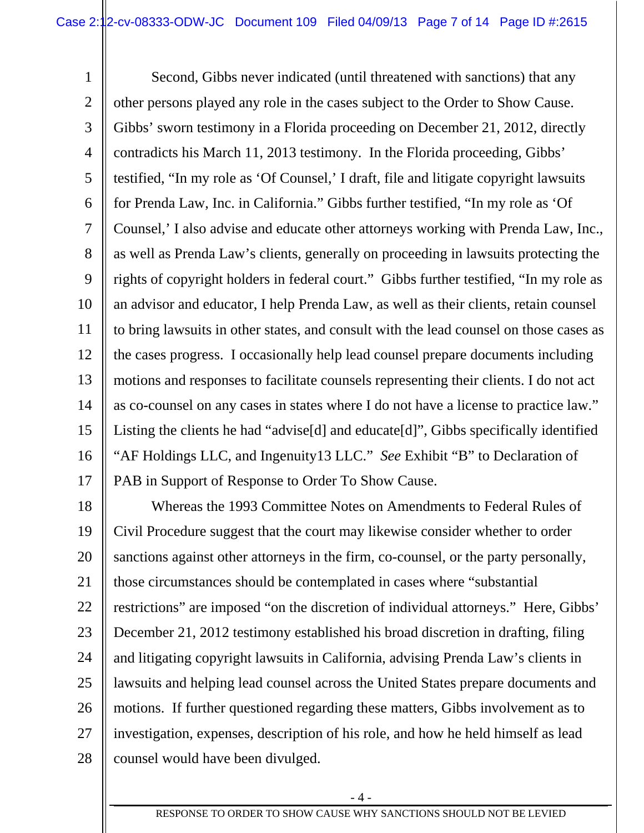1 2 3 4 5 6 7 8 9 10 11 12 13 14 15 16 17 Second, Gibbs never indicated (until threatened with sanctions) that any other persons played any role in the cases subject to the Order to Show Cause. Gibbs' sworn testimony in a Florida proceeding on December 21, 2012, directly contradicts his March 11, 2013 testimony. In the Florida proceeding, Gibbs' testified, "In my role as 'Of Counsel,' I draft, file and litigate copyright lawsuits for Prenda Law, Inc. in California." Gibbs further testified, "In my role as 'Of Counsel,' I also advise and educate other attorneys working with Prenda Law, Inc., as well as Prenda Law's clients, generally on proceeding in lawsuits protecting the rights of copyright holders in federal court." Gibbs further testified, "In my role as an advisor and educator, I help Prenda Law, as well as their clients, retain counsel to bring lawsuits in other states, and consult with the lead counsel on those cases as the cases progress. I occasionally help lead counsel prepare documents including motions and responses to facilitate counsels representing their clients. I do not act as co-counsel on any cases in states where I do not have a license to practice law." Listing the clients he had "advise[d] and educate[d]", Gibbs specifically identified "AF Holdings LLC, and Ingenuity13 LLC." *See* Exhibit "B" to Declaration of PAB in Support of Response to Order To Show Cause.

18 19 20 21 22 23 24 25 26 27 28 Whereas the 1993 Committee Notes on Amendments to Federal Rules of Civil Procedure suggest that the court may likewise consider whether to order sanctions against other attorneys in the firm, co-counsel, or the party personally, those circumstances should be contemplated in cases where "substantial restrictions" are imposed "on the discretion of individual attorneys." Here, Gibbs' December 21, 2012 testimony established his broad discretion in drafting, filing and litigating copyright lawsuits in California, advising Prenda Law's clients in lawsuits and helping lead counsel across the United States prepare documents and motions. If further questioned regarding these matters, Gibbs involvement as to investigation, expenses, description of his role, and how he held himself as lead counsel would have been divulged.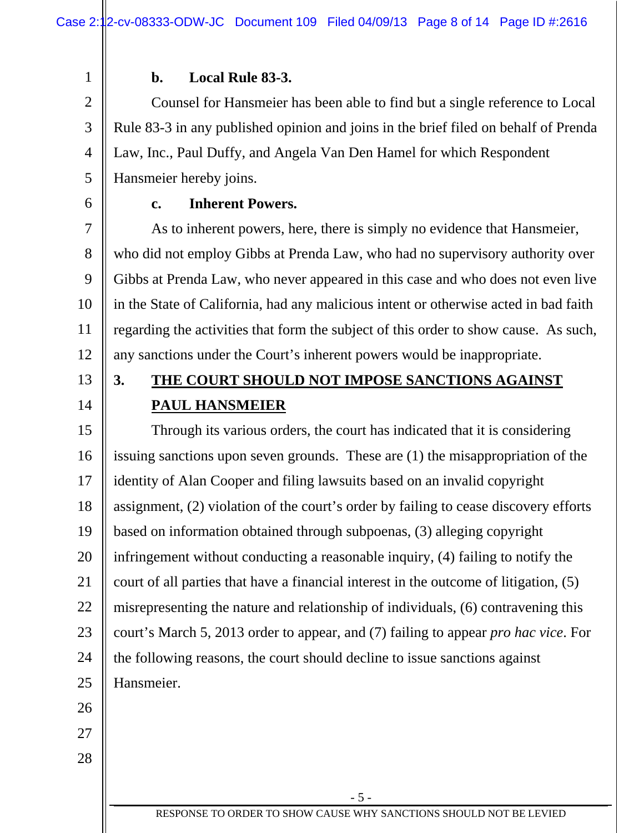#### **b. Local Rule 83-3.**

2 3 4 5 Counsel for Hansmeier has been able to find but a single reference to Local Rule 83-3 in any published opinion and joins in the brief filed on behalf of Prenda Law, Inc., Paul Duffy, and Angela Van Den Hamel for which Respondent Hansmeier hereby joins.

6

1

#### **c. Inherent Powers.**

7 8 9 10 11 12 As to inherent powers, here, there is simply no evidence that Hansmeier, who did not employ Gibbs at Prenda Law, who had no supervisory authority over Gibbs at Prenda Law, who never appeared in this case and who does not even live in the State of California, had any malicious intent or otherwise acted in bad faith regarding the activities that form the subject of this order to show cause. As such, any sanctions under the Court's inherent powers would be inappropriate.

13

14

## **3. THE COURT SHOULD NOT IMPOSE SANCTIONS AGAINST PAUL HANSMEIER**

15 16 17 18 19 20 21 22 23 24 25 26 Through its various orders, the court has indicated that it is considering issuing sanctions upon seven grounds. These are (1) the misappropriation of the identity of Alan Cooper and filing lawsuits based on an invalid copyright assignment, (2) violation of the court's order by failing to cease discovery efforts based on information obtained through subpoenas, (3) alleging copyright infringement without conducting a reasonable inquiry, (4) failing to notify the court of all parties that have a financial interest in the outcome of litigation, (5) misrepresenting the nature and relationship of individuals, (6) contravening this court's March 5, 2013 order to appear, and (7) failing to appear *pro hac vice*. For the following reasons, the court should decline to issue sanctions against Hansmeier.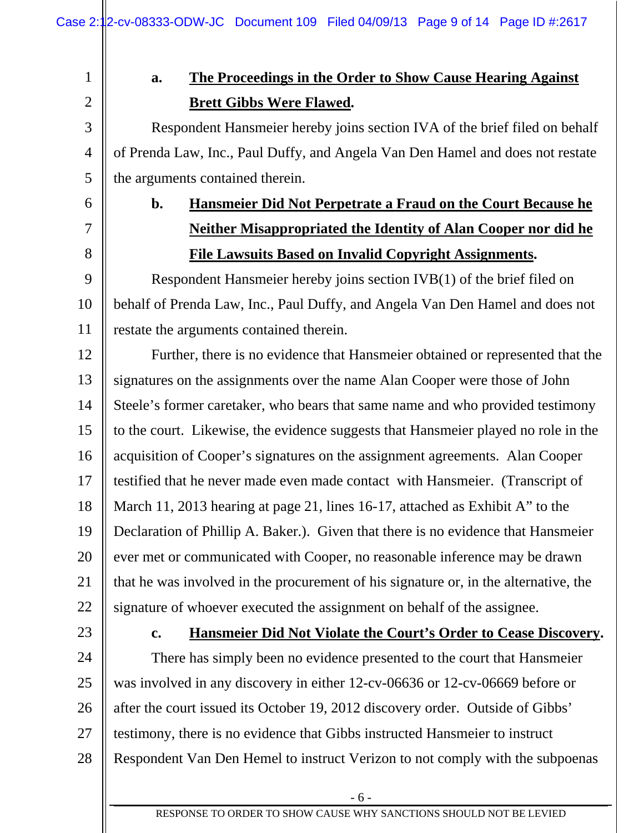2 3

1

# **a. The Proceedings in the Order to Show Cause Hearing Against Brett Gibbs Were Flawed.**

Respondent Hansmeier hereby joins section IVA of the brief filed on behalf of Prenda Law, Inc., Paul Duffy, and Angela Van Den Hamel and does not restate the arguments contained therein.

6

7

8

4

5

# **b. Hansmeier Did Not Perpetrate a Fraud on the Court Because he Neither Misappropriated the Identity of Alan Cooper nor did he File Lawsuits Based on Invalid Copyright Assignments.**

9 10 11 Respondent Hansmeier hereby joins section IVB(1) of the brief filed on behalf of Prenda Law, Inc., Paul Duffy, and Angela Van Den Hamel and does not restate the arguments contained therein.

12 13 14 15 16 17 18 19 20 21 22 Further, there is no evidence that Hansmeier obtained or represented that the signatures on the assignments over the name Alan Cooper were those of John Steele's former caretaker, who bears that same name and who provided testimony to the court. Likewise, the evidence suggests that Hansmeier played no role in the acquisition of Cooper's signatures on the assignment agreements. Alan Cooper testified that he never made even made contact with Hansmeier. (Transcript of March 11, 2013 hearing at page 21, lines 16-17, attached as Exhibit A" to the Declaration of Phillip A. Baker.). Given that there is no evidence that Hansmeier ever met or communicated with Cooper, no reasonable inference may be drawn that he was involved in the procurement of his signature or, in the alternative, the signature of whoever executed the assignment on behalf of the assignee.

23

#### **c. Hansmeier Did Not Violate the Court's Order to Cease Discovery.**

24 25 26 27 28 There has simply been no evidence presented to the court that Hansmeier was involved in any discovery in either 12-cv-06636 or 12-cv-06669 before or after the court issued its October 19, 2012 discovery order. Outside of Gibbs' testimony, there is no evidence that Gibbs instructed Hansmeier to instruct Respondent Van Den Hemel to instruct Verizon to not comply with the subpoenas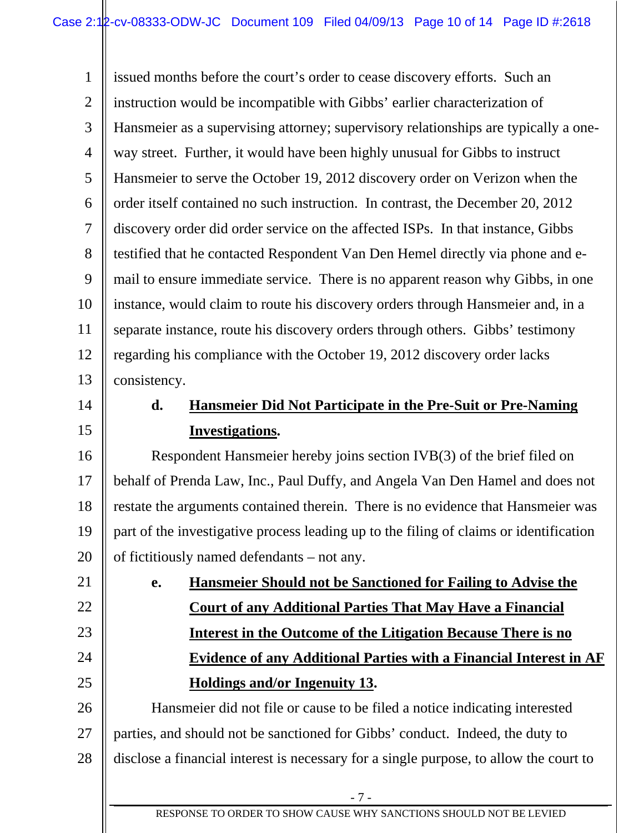1 2 3 4 5 6 7 8 9 10 11 12 13 issued months before the court's order to cease discovery efforts. Such an instruction would be incompatible with Gibbs' earlier characterization of Hansmeier as a supervising attorney; supervisory relationships are typically a oneway street. Further, it would have been highly unusual for Gibbs to instruct Hansmeier to serve the October 19, 2012 discovery order on Verizon when the order itself contained no such instruction. In contrast, the December 20, 2012 discovery order did order service on the affected ISPs. In that instance, Gibbs testified that he contacted Respondent Van Den Hemel directly via phone and email to ensure immediate service. There is no apparent reason why Gibbs, in one instance, would claim to route his discovery orders through Hansmeier and, in a separate instance, route his discovery orders through others. Gibbs' testimony regarding his compliance with the October 19, 2012 discovery order lacks consistency.

14 15

21

22

23

24

25

## **d. Hansmeier Did Not Participate in the Pre-Suit or Pre-Naming Investigations.**

16 17 18 19 20 Respondent Hansmeier hereby joins section IVB(3) of the brief filed on behalf of Prenda Law, Inc., Paul Duffy, and Angela Van Den Hamel and does not restate the arguments contained therein. There is no evidence that Hansmeier was part of the investigative process leading up to the filing of claims or identification of fictitiously named defendants – not any.

**e. Hansmeier Should not be Sanctioned for Failing to Advise the Court of any Additional Parties That May Have a Financial Interest in the Outcome of the Litigation Because There is no Evidence of any Additional Parties with a Financial Interest in AF Holdings and/or Ingenuity 13.** 

26 27 28 Hansmeier did not file or cause to be filed a notice indicating interested parties, and should not be sanctioned for Gibbs' conduct. Indeed, the duty to disclose a financial interest is necessary for a single purpose, to allow the court to

- 7 -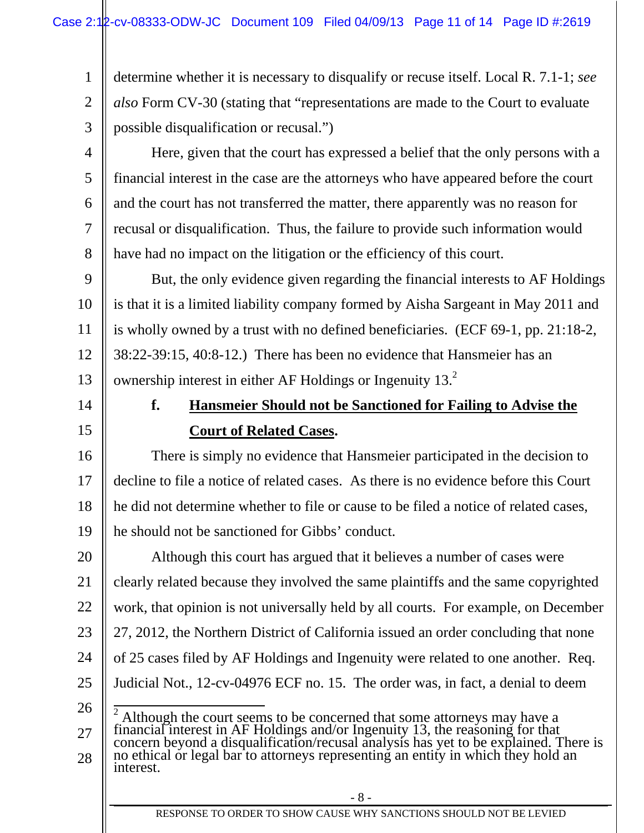1 2 3 determine whether it is necessary to disqualify or recuse itself. Local R. 7.1-1; *see also* Form CV-30 (stating that "representations are made to the Court to evaluate possible disqualification or recusal.")

4

5

6

7

8

Here, given that the court has expressed a belief that the only persons with a financial interest in the case are the attorneys who have appeared before the court and the court has not transferred the matter, there apparently was no reason for recusal or disqualification. Thus, the failure to provide such information would have had no impact on the litigation or the efficiency of this court.

9 10 11 12 13 But, the only evidence given regarding the financial interests to AF Holdings is that it is a limited liability company formed by Aisha Sargeant in May 2011 and is wholly owned by a trust with no defined beneficiaries. (ECF 69-1, pp. 21:18-2, 38:22-39:15, 40:8-12.) There has been no evidence that Hansmeier has an ownership interest in either AF Holdings or Ingenuity 13.<sup>2</sup>

14

15

### **f. Hansmeier Should not be Sanctioned for Failing to Advise the Court of Related Cases.**

16 17 18 19 There is simply no evidence that Hansmeier participated in the decision to decline to file a notice of related cases. As there is no evidence before this Court he did not determine whether to file or cause to be filed a notice of related cases, he should not be sanctioned for Gibbs' conduct.

20 21 22 23 24 25 Although this court has argued that it believes a number of cases were clearly related because they involved the same plaintiffs and the same copyrighted work, that opinion is not universally held by all courts. For example, on December 27, 2012, the Northern District of California issued an order concluding that none of 25 cases filed by AF Holdings and Ingenuity were related to one another. Req. Judicial Not., 12-cv-04976 ECF no. 15. The order was, in fact, a denial to deem

26 27 28  $\frac{1}{2}$ <sup>2</sup> Although the court seems to be concerned that some attorneys may have a financial interest in AF Holdings and/or Ingenuity 13, the reasoning for that concern beyond a disqualification/recusal analysis has yet to be ex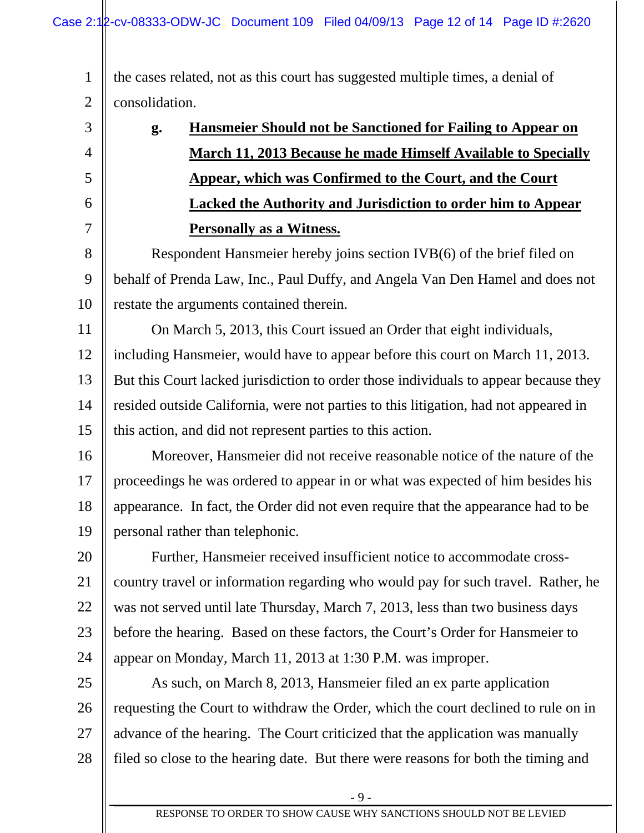1 2 the cases related, not as this court has suggested multiple times, a denial of consolidation.

| 3  | Hansmeier Should not be Sanctioned for Failing to Appear on<br>g.             |
|----|-------------------------------------------------------------------------------|
| 4  | March 11, 2013 Because he made Himself Available to Specially                 |
|    | Appear, which was Confirmed to the Court, and the Court                       |
| 6  | Lacked the Authority and Jurisdiction to order him to Appear                  |
|    | <b>Personally as a Witness.</b>                                               |
| 8  | Respondent Hansmeier hereby joins section IVB(6) of the brief filed on        |
| 9  | behalf of Prenda Law, Inc., Paul Duffy, and Angela Van Den Hamel and does not |
| 10 | restate the arguments contained therein.                                      |
|    |                                                                               |

11 12 13 14 15 On March 5, 2013, this Court issued an Order that eight individuals, including Hansmeier, would have to appear before this court on March 11, 2013. But this Court lacked jurisdiction to order those individuals to appear because they resided outside California, were not parties to this litigation, had not appeared in this action, and did not represent parties to this action.

16 17 18 19 Moreover, Hansmeier did not receive reasonable notice of the nature of the proceedings he was ordered to appear in or what was expected of him besides his appearance. In fact, the Order did not even require that the appearance had to be personal rather than telephonic.

20 21 22 23 24 Further, Hansmeier received insufficient notice to accommodate crosscountry travel or information regarding who would pay for such travel. Rather, he was not served until late Thursday, March 7, 2013, less than two business days before the hearing. Based on these factors, the Court's Order for Hansmeier to appear on Monday, March 11, 2013 at 1:30 P.M. was improper.

25 26 27 28 As such, on March 8, 2013, Hansmeier filed an ex parte application requesting the Court to withdraw the Order, which the court declined to rule on in advance of the hearing. The Court criticized that the application was manually filed so close to the hearing date. But there were reasons for both the timing and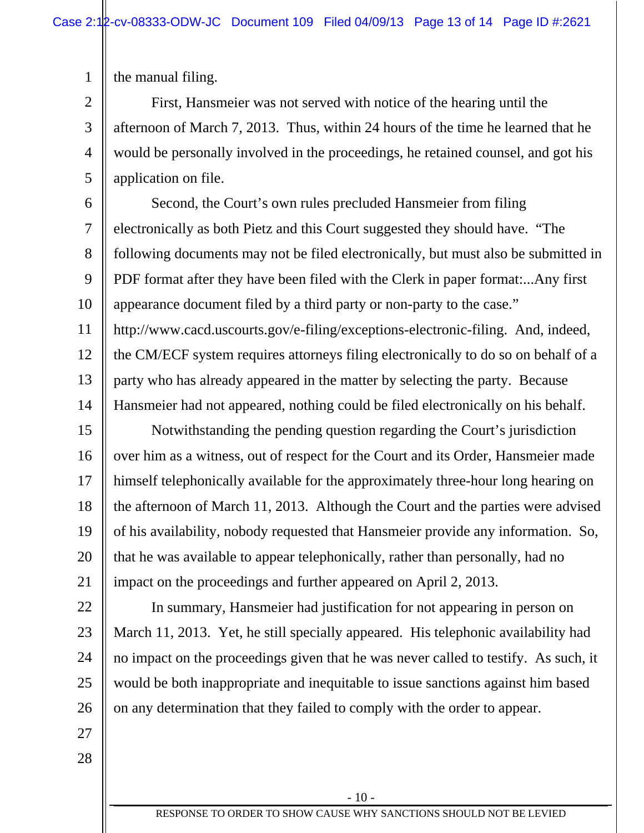1 the manual filing.

2 3 4 5 First, Hansmeier was not served with notice of the hearing until the afternoon of March 7, 2013. Thus, within 24 hours of the time he learned that he would be personally involved in the proceedings, he retained counsel, and got his application on file.

6 7 8 9 10 11 12 13 14 Second, the Court's own rules precluded Hansmeier from filing electronically as both Pietz and this Court suggested they should have. "The following documents may not be filed electronically, but must also be submitted in PDF format after they have been filed with the Clerk in paper format:...Any first appearance document filed by a third party or non-party to the case." http://www.cacd.uscourts.gov/e-filing/exceptions-electronic-filing. And, indeed, the CM/ECF system requires attorneys filing electronically to do so on behalf of a party who has already appeared in the matter by selecting the party. Because Hansmeier had not appeared, nothing could be filed electronically on his behalf.

15 16 17 18 19 20 21 Notwithstanding the pending question regarding the Court's jurisdiction over him as a witness, out of respect for the Court and its Order, Hansmeier made himself telephonically available for the approximately three-hour long hearing on the afternoon of March 11, 2013. Although the Court and the parties were advised of his availability, nobody requested that Hansmeier provide any information. So, that he was available to appear telephonically, rather than personally, had no impact on the proceedings and further appeared on April 2, 2013.

22 23 24 25 26 In summary, Hansmeier had justification for not appearing in person on March 11, 2013. Yet, he still specially appeared. His telephonic availability had no impact on the proceedings given that he was never called to testify. As such, it would be both inappropriate and inequitable to issue sanctions against him based on any determination that they failed to comply with the order to appear.